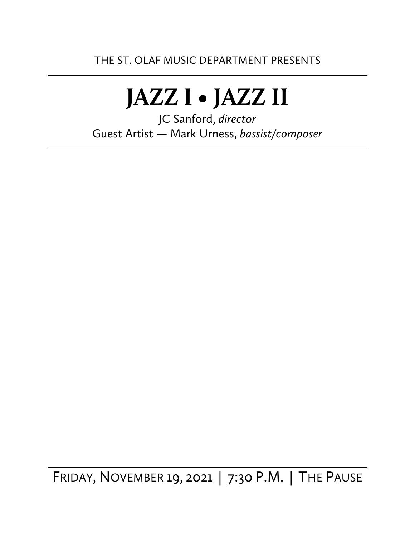# **JAZZ I • JAZZ II**

JC Sanford, *director* Guest Artist — Mark Urness, *bassist/composer*

FRIDAY, NOVEMBER 19, 2021 | 7:30 P.M. | THE PAUSE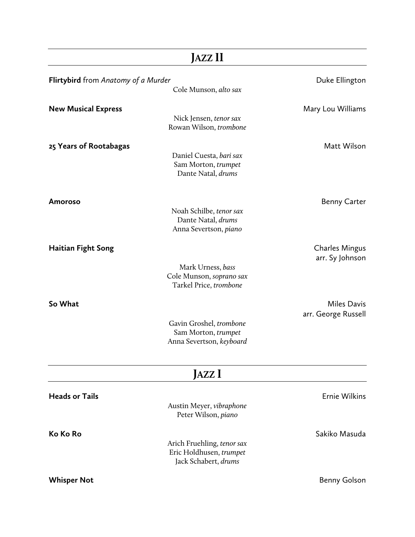|                                                                     | JAZZ II                                                                       |                                           |
|---------------------------------------------------------------------|-------------------------------------------------------------------------------|-------------------------------------------|
| <b>Flirtybird</b> from Anatomy of a Murder<br>Cole Munson, alto sax |                                                                               | Duke Ellington                            |
| <b>New Musical Express</b>                                          | Nick Jensen, tenor sax<br>Rowan Wilson, trombone                              | Mary Lou Williams                         |
| 25 Years of Rootabagas                                              | Daniel Cuesta, bari sax<br>Sam Morton, trumpet<br>Dante Natal, drums          | Matt Wilson                               |
| <b>Amoroso</b>                                                      | Noah Schilbe, tenor sax<br>Dante Natal, drums<br>Anna Severtson, piano        | <b>Benny Carter</b>                       |
| Haitian Fight Song                                                  | Mark Urness, bass<br>Cole Munson, soprano sax<br>Tarkel Price, trombone       | <b>Charles Mingus</b><br>arr. Sy Johnson  |
| So What                                                             | Gavin Groshel, trombone<br>Sam Morton, trumpet<br>Anna Severtson, keyboard    | <b>Miles Davis</b><br>arr. George Russell |
|                                                                     | JAZZ I                                                                        |                                           |
| <b>Heads or Tails</b>                                               | Austin Meyer, vibraphone<br>Peter Wilson, piano                               | Ernie Wilkins                             |
| Ko Ko Ro                                                            | Arich Fruehling, tenor sax<br>Eric Holdhusen, trumpet<br>Jack Schabert, drums | Sakiko Masuda                             |
| <b>Whisper Not</b>                                                  |                                                                               | <b>Benny Golson</b>                       |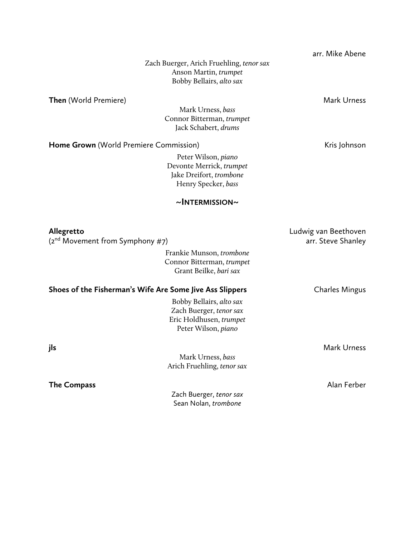|                                                          |                                                     | arr. Mike Abene       |
|----------------------------------------------------------|-----------------------------------------------------|-----------------------|
|                                                          | Zach Buerger, Arich Fruehling, tenor sax            |                       |
|                                                          | Anson Martin, trumpet                               |                       |
|                                                          | Bobby Bellairs, alto sax                            |                       |
| <b>Then</b> (World Premiere)                             |                                                     | <b>Mark Urness</b>    |
|                                                          | Mark Urness, bass                                   |                       |
|                                                          | Connor Bitterman, trumpet                           |                       |
|                                                          | Jack Schabert, drums                                |                       |
| Home Grown (World Premiere Commission)                   |                                                     | Kris Johnson          |
|                                                          | Peter Wilson, piano                                 |                       |
|                                                          | Devonte Merrick, trumpet                            |                       |
|                                                          | Jake Dreifort, trombone                             |                       |
|                                                          | Henry Specker, bass                                 |                       |
|                                                          | $\sim$ INTERMISSION $\sim$                          |                       |
|                                                          |                                                     |                       |
| Allegretto                                               |                                                     | Ludwig van Beethoven  |
| $(2^{nd}$ Movement from Symphony #7)                     |                                                     | arr. Steve Shanley    |
|                                                          | Frankie Munson, trombone                            |                       |
|                                                          | Connor Bitterman, trumpet<br>Grant Beilke, bari sax |                       |
|                                                          |                                                     |                       |
| Shoes of the Fisherman's Wife Are Some Jive Ass Slippers |                                                     | <b>Charles Mingus</b> |
|                                                          | Bobby Bellairs, alto sax                            |                       |
|                                                          | Zach Buerger, tenor sax                             |                       |
|                                                          | Eric Holdhusen, trumpet                             |                       |
|                                                          | Peter Wilson, piano                                 |                       |
| jls                                                      |                                                     | <b>Mark Urness</b>    |
|                                                          | Mark Urness, bass                                   |                       |
|                                                          | Arich Fruehling, tenor sax                          |                       |
|                                                          |                                                     | Alan Ferber           |
|                                                          |                                                     |                       |
|                                                          | Sean Nolan, trombone                                |                       |
| <b>The Compass</b>                                       | Zach Buerger, tenor sax                             |                       |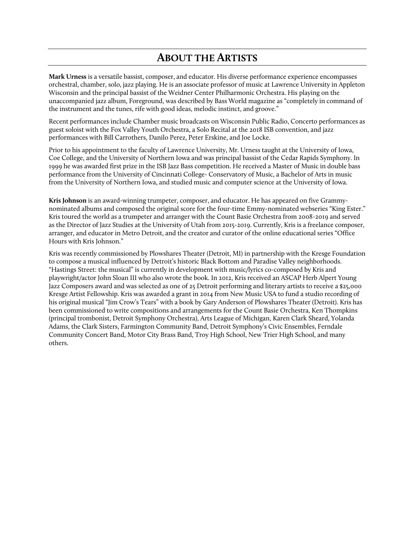## **ABOUT THE ARTISTS**

**Mark Urness** is a versatile bassist, composer, and educator. His diverse performance experience encompasses orchestral, chamber, solo, jazz playing. He is an associate professor of music at Lawrence University in Appleton Wisconsin and the principal bassist of the Weidner Center Philharmonic Orchestra. His playing on the unaccompanied jazz album, Foreground, was described by Bass World magazine as "completely in command of the instrument and the tunes, rife with good ideas, melodic instinct, and groove."

Recent performances include Chamber music broadcasts on Wisconsin Public Radio, Concerto performances as guest soloist with the Fox Valley Youth Orchestra, a Solo Recital at the 2018 ISB convention, and jazz performances with Bill Carrothers, Danilo Perez, Peter Erskine, and Joe Locke.

Prior to his appointment to the faculty of Lawrence University, Mr. Urness taught at the University of Iowa, Coe College, and the University of Northern Iowa and was principal bassist of the Cedar Rapids Symphony. In 1999 he was awarded first prize in the ISB Jazz Bass competition. He received a Master of Music in double bass performance from the University of Cincinnati College- Conservatory of Music, a Bachelor of Arts in music from the University of Northern Iowa, and studied music and computer science at the University of Iowa.

**Kris Johnson** is an award-winning trumpeter, composer, and educator. He has appeared on five Grammynominated albums and composed the original score for the four-time Emmy-nominated webseries "King Ester." Kris toured the world as a trumpeter and arranger with the Count Basie Orchestra from 2008-2019 and served as the Director of Jazz Studies at the University of Utah from 2015-2019. Currently, Kris is a freelance composer, arranger, and educator in Metro Detroit, and the creator and curator of the online educational series "Office Hours with Kris Johnson."

Kris was recently commissioned by Plowshares Theater (Detroit, MI) in partnership with the Kresge Foundation to compose a musical influenced by Detroit's historic Black Bottom and Paradise Valley neighborhoods. "Hastings Street: the musical" is currently in development with music/lyrics co-composed by Kris and playwright/actor John Sloan III who also wrote the book. In 2012, Kris received an ASCAP Herb Alpert Young Jazz Composers award and was selected as one of 25 Detroit performing and literary artists to receive a \$25,000 Kresge Artist Fellowship. Kris was awarded a grant in 2014 from New Music USA to fund a studio recording of his original musical "Jim Crow's Tears" with a book by Gary Anderson of Plowshares Theater (Detroit). Kris has been commissioned to write compositions and arrangements for the Count Basie Orchestra, Ken Thompkins (principal trombonist, Detroit Symphony Orchestra), Arts League of Michigan, Karen Clark Sheard, Yolanda Adams, the Clark Sisters, Farmington Community Band, Detroit Symphony's Civic Ensembles, Ferndale Community Concert Band, Motor City Brass Band, Troy High School, New Trier High School, and many others.